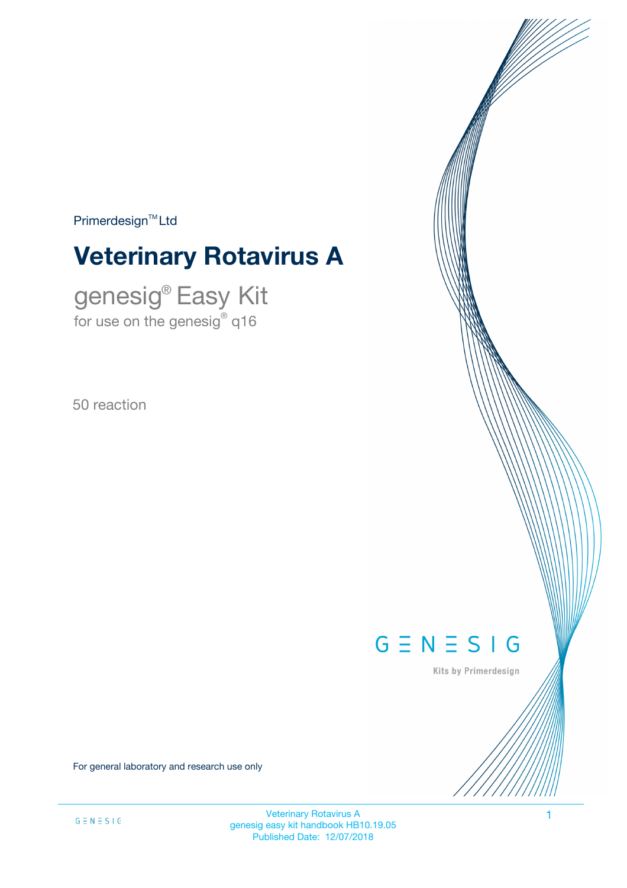$Primerdesign<sup>™</sup>Ltd$ 

# **Veterinary Rotavirus A**

genesig® Easy Kit for use on the genesig $^\circ$  q16

50 reaction



Kits by Primerdesign

For general laboratory and research use only

Veterinary Rotavirus A 1 genesig easy kit handbook HB10.19.05 Published Date: 12/07/2018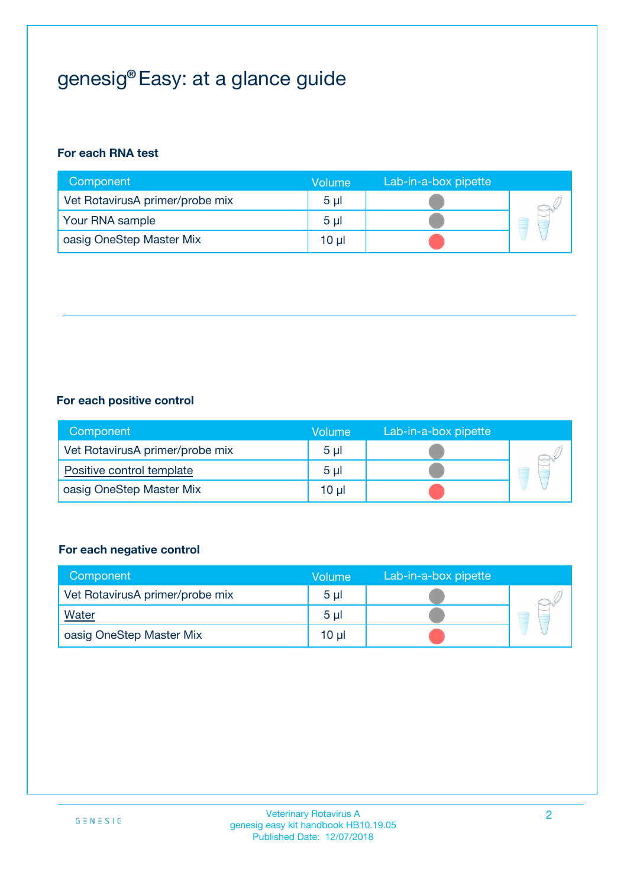## genesig® Easy: at a glance guide

## **For each RNA test**

| Component                       | <b>Volume</b>  | Lab-in-a-box pipette |  |
|---------------------------------|----------------|----------------------|--|
| Vet RotavirusA primer/probe mix | 5 <sub>µ</sub> |                      |  |
| Your RNA sample                 | 5 <sub>µ</sub> |                      |  |
| oasig OneStep Master Mix        | 10 µl          |                      |  |

### **For each positive control**

| Component                       | Volume         | Lab-in-a-box pipette |  |
|---------------------------------|----------------|----------------------|--|
| Vet RotavirusA primer/probe mix | 5 <sub>µ</sub> |                      |  |
| Positive control template       | $5 \mu$        |                      |  |
| oasig OneStep Master Mix        | $10 \mu$       |                      |  |

### **For each negative control**

| Component                       | <b>Volume</b>  | Lab-in-a-box pipette |   |
|---------------------------------|----------------|----------------------|---|
| Vet RotavirusA primer/probe mix | 5 <sub>µ</sub> |                      |   |
| <b>Water</b>                    | 5 <sub>µ</sub> |                      | ۳ |
| oasig OneStep Master Mix        | $10 \mu$       |                      |   |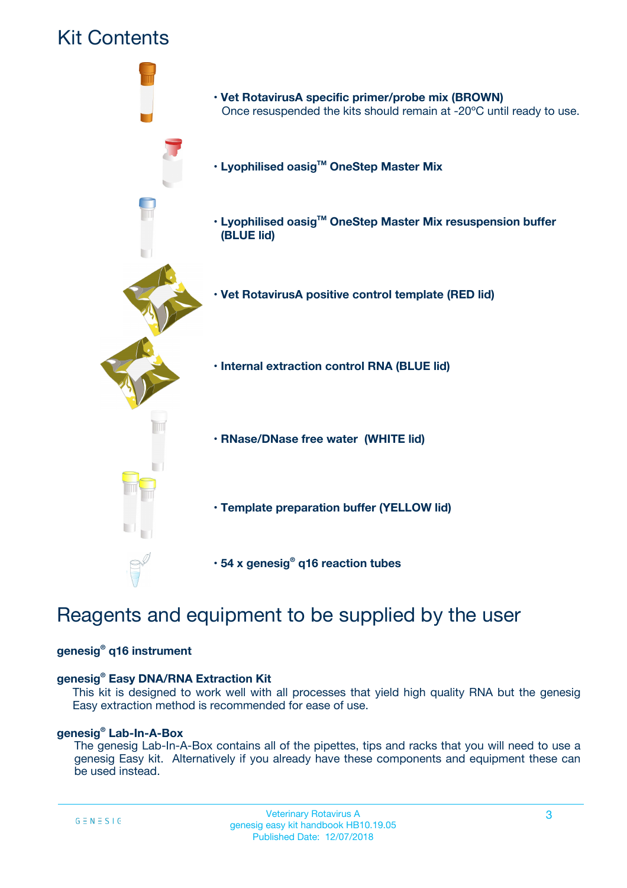

## Reagents and equipment to be supplied by the user

### **genesig® q16 instrument**

### **genesig® Easy DNA/RNA Extraction Kit**

This kit is designed to work well with all processes that yield high quality RNA but the genesig Easy extraction method is recommended for ease of use.

### **genesig® Lab-In-A-Box**

The genesig Lab-In-A-Box contains all of the pipettes, tips and racks that you will need to use a genesig Easy kit. Alternatively if you already have these components and equipment these can be used instead.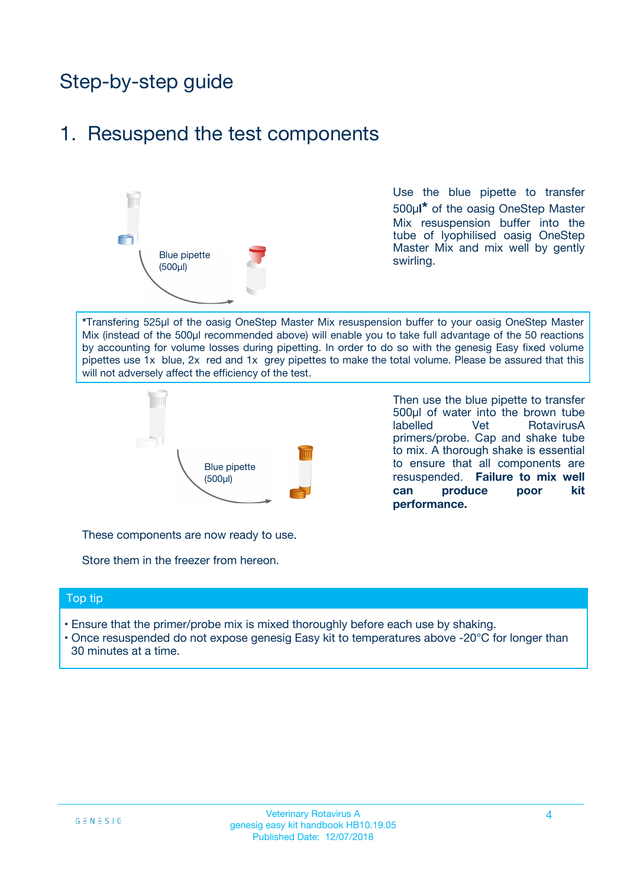## Step-by-step guide

## 1. Resuspend the test components



Use the blue pipette to transfer 500µ**l\*** of the oasig OneStep Master Mix resuspension buffer into the tube of lyophilised oasig OneStep Master Mix and mix well by gently swirling.

**\***Transfering 525µl of the oasig OneStep Master Mix resuspension buffer to your oasig OneStep Master Mix (instead of the 500µl recommended above) will enable you to take full advantage of the 50 reactions by accounting for volume losses during pipetting. In order to do so with the genesig Easy fixed volume pipettes use 1x blue, 2x red and 1x grey pipettes to make the total volume. Please be assured that this will not adversely affect the efficiency of the test.



Then use the blue pipette to transfer 500µl of water into the brown tube labelled Vet RotavirusA primers/probe. Cap and shake tube to mix. A thorough shake is essential to ensure that all components are resuspended. **Failure to mix well can produce poor kit performance.**

These components are now ready to use.

Store them in the freezer from hereon.

#### Top tip

- Ensure that the primer/probe mix is mixed thoroughly before each use by shaking.
- Once resuspended do not expose genesig Easy kit to temperatures above -20°C for longer than 30 minutes at a time.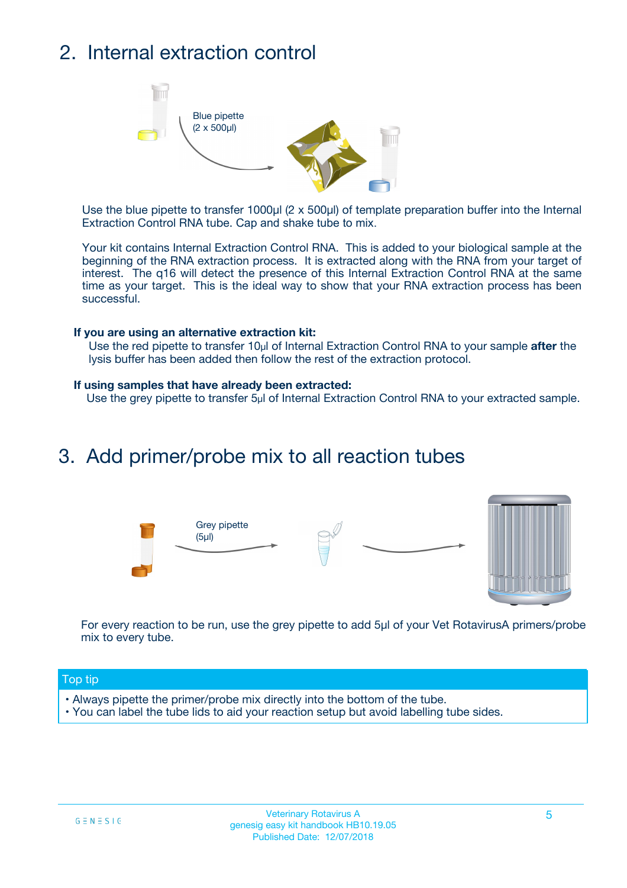## 2. Internal extraction control



Use the blue pipette to transfer 1000µl (2 x 500µl) of template preparation buffer into the Internal Extraction Control RNA tube. Cap and shake tube to mix.

Your kit contains Internal Extraction Control RNA. This is added to your biological sample at the beginning of the RNA extraction process. It is extracted along with the RNA from your target of interest. The q16 will detect the presence of this Internal Extraction Control RNA at the same time as your target. This is the ideal way to show that your RNA extraction process has been successful.

#### **If you are using an alternative extraction kit:**

Use the red pipette to transfer 10µl of Internal Extraction Control RNA to your sample **after** the lysis buffer has been added then follow the rest of the extraction protocol.

#### **If using samples that have already been extracted:**

Use the grey pipette to transfer 5µl of Internal Extraction Control RNA to your extracted sample.

## 3. Add primer/probe mix to all reaction tubes





For every reaction to be run, use the grey pipette to add 5µl of your Vet RotavirusA primers/probe mix to every tube.

### Top tip

- Always pipette the primer/probe mix directly into the bottom of the tube.
- You can label the tube lids to aid your reaction setup but avoid labelling tube sides.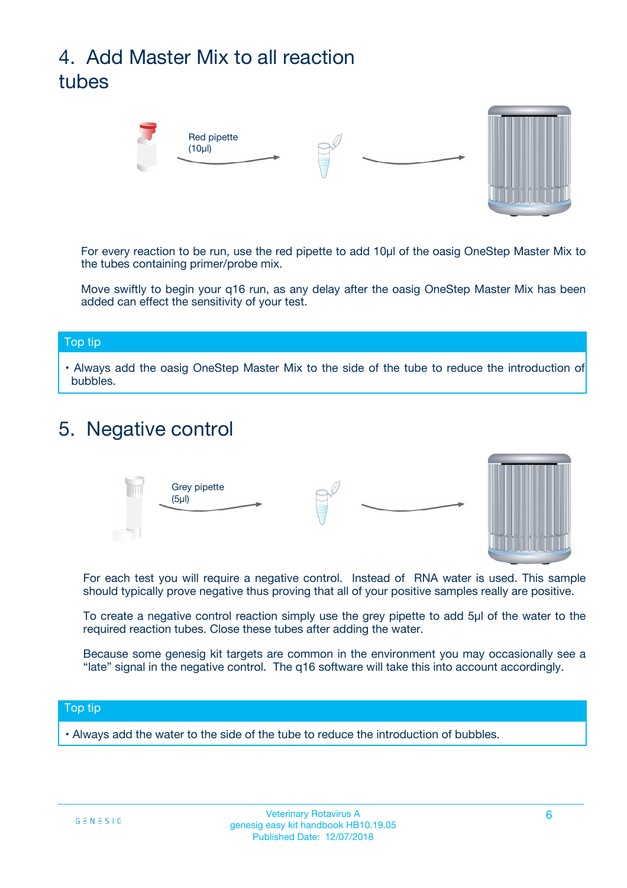## 4. Add Master Mix to all reaction tubes



For every reaction to be run, use the red pipette to add 10µl of the oasig OneStep Master Mix to the tubes containing primer/probe mix.

Move swiftly to begin your q16 run, as any delay after the oasig OneStep Master Mix has been added can effect the sensitivity of your test.

#### Top tip

**•** Always add the oasig OneStep Master Mix to the side of the tube to reduce the introduction of bubbles.

## 5. Negative control



For each test you will require a negative control. Instead of RNA water is used. This sample should typically prove negative thus proving that all of your positive samples really are positive.

To create a negative control reaction simply use the grey pipette to add 5µl of the water to the required reaction tubes. Close these tubes after adding the water.

Because some genesig kit targets are common in the environment you may occasionally see a "late" signal in the negative control. The q16 software will take this into account accordingly.

### Top tip

**•** Always add the water to the side of the tube to reduce the introduction of bubbles.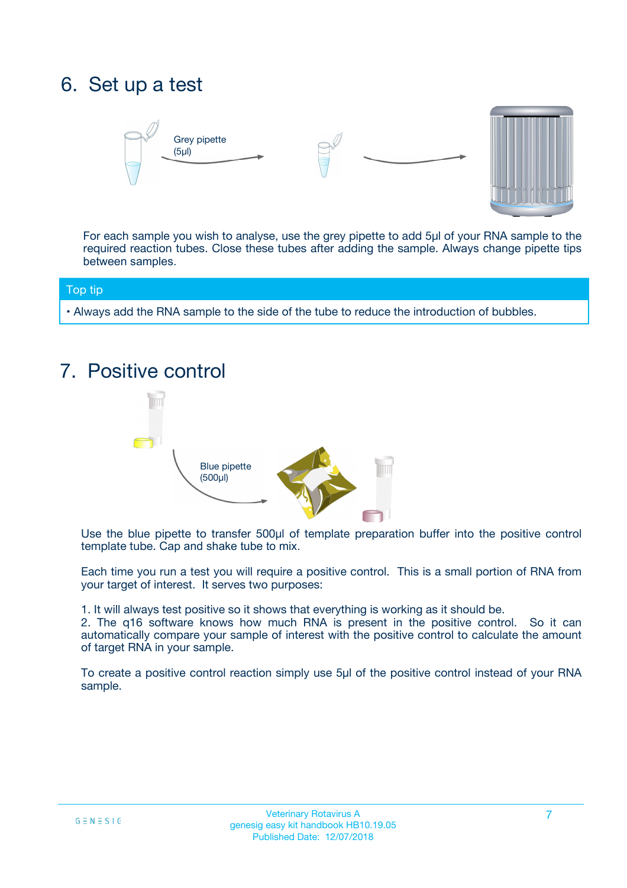## 6. Set up a test





For each sample you wish to analyse, use the grey pipette to add 5µl of your RNA sample to the required reaction tubes. Close these tubes after adding the sample. Always change pipette tips between samples.

### Top tip

**•** Always add the RNA sample to the side of the tube to reduce the introduction of bubbles.

## 7. Positive control



Use the blue pipette to transfer 500µl of template preparation buffer into the positive control template tube. Cap and shake tube to mix.

Each time you run a test you will require a positive control. This is a small portion of RNA from your target of interest. It serves two purposes:

1. It will always test positive so it shows that everything is working as it should be.

2. The q16 software knows how much RNA is present in the positive control. So it can automatically compare your sample of interest with the positive control to calculate the amount of target RNA in your sample.

To create a positive control reaction simply use 5µl of the positive control instead of your RNA sample.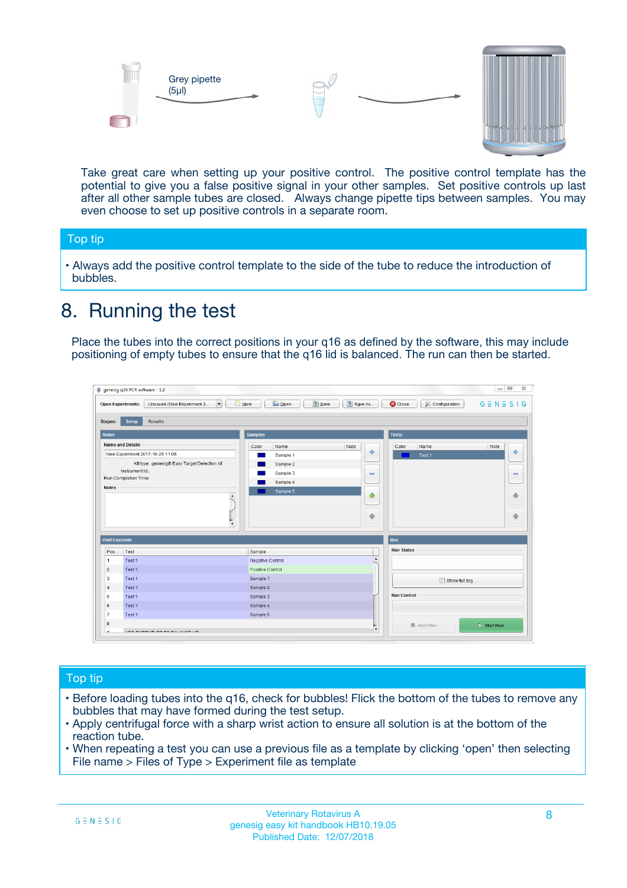



Take great care when setting up your positive control. The positive control template has the potential to give you a false positive signal in your other samples. Set positive controls up last after all other sample tubes are closed. Always change pipette tips between samples. You may even choose to set up positive controls in a separate room.

### Top tip

**•** Always add the positive control template to the side of the tube to reduce the introduction of bubbles.

## 8. Running the test

Place the tubes into the correct positions in your q16 as defined by the software, this may include positioning of empty tubes to ensure that the q16 lid is balanced. The run can then be started.

|                      | genesig q16 PCR software - 1.2                                                          |                                  | $\Box$                                                                       |
|----------------------|-----------------------------------------------------------------------------------------|----------------------------------|------------------------------------------------------------------------------|
|                      | $N$ ew<br><b>Open Experiments:</b><br>Unsaved (New Experiment 2<br>$\blacktriangledown$ | <b>E</b> Open<br>Save<br>Save As | $G \equiv N \equiv S \mid G$<br><b>C</b> Close<br><b>&amp; Configuration</b> |
| <b>Stages:</b>       | Setup<br><b>Results</b>                                                                 |                                  |                                                                              |
| <b>Notes</b>         |                                                                                         | <b>Samples</b>                   | <b>Tests</b>                                                                 |
|                      | <b>Name and Details</b>                                                                 | Color<br>Note<br>Name            | Color<br>Note<br>Name                                                        |
|                      | New Experiment 2017-10-26 11:06                                                         | Sample 1                         | على<br>4<br>Test 1                                                           |
|                      | Kit type: genesig® Easy Target Detection kit                                            | Sample 2                         |                                                                              |
|                      | Instrument Id.:                                                                         | Sample 3                         | $\equiv$<br>$\equiv$                                                         |
|                      | <b>Run Completion Time:</b>                                                             | Sample 4                         |                                                                              |
| <b>Notes</b>         | $\blacktriangle$                                                                        | Sample 5                         | 企<br>40                                                                      |
|                      | $\overline{\mathbf{v}}$                                                                 |                                  | ÷<br>⊕                                                                       |
| <b>Well Contents</b> |                                                                                         |                                  | Run                                                                          |
| Pos.                 | Test                                                                                    | Sample                           | <b>Run Status</b>                                                            |
| -1                   | Test 1                                                                                  | Negative Control                 | $\blacktriangle$                                                             |
| $\overline{2}$       | Test 1                                                                                  | Positive Control                 |                                                                              |
| 3                    | Test 1                                                                                  | Sample 1                         | Show full log                                                                |
| $\overline{4}$       | Test 1                                                                                  | Sample 2                         |                                                                              |
| 5                    | Test 1                                                                                  | Sample 3                         | <b>Run Control</b>                                                           |
| 6                    | Test 1                                                                                  | Sample 4                         |                                                                              |
| $\overline{7}$       | Test 1                                                                                  | Sample 5                         |                                                                              |
| 8                    |                                                                                         |                                  | $\triangleright$ Start Run<br>■ Abort Run                                    |
| ◡                    | <b><i>ADD FURTHER COLLANDELIA</i></b>                                                   |                                  | $\overline{\mathbf{v}}$                                                      |

### Top tip

- Before loading tubes into the q16, check for bubbles! Flick the bottom of the tubes to remove any bubbles that may have formed during the test setup.
- Apply centrifugal force with a sharp wrist action to ensure all solution is at the bottom of the reaction tube.
- When repeating a test you can use a previous file as a template by clicking 'open' then selecting File name > Files of Type > Experiment file as template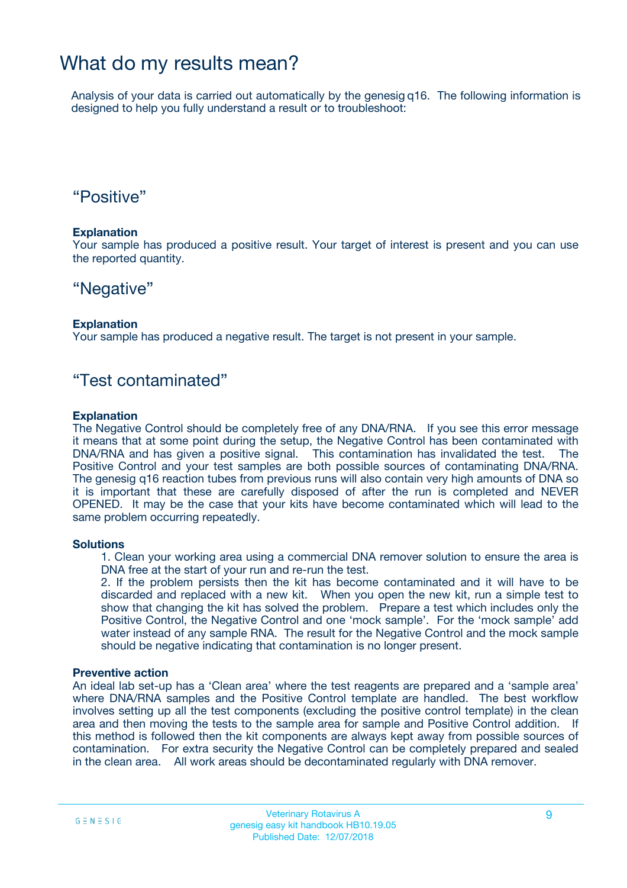## What do my results mean?

Analysis of your data is carried out automatically by the genesig q16. The following information is designed to help you fully understand a result or to troubleshoot:

## "Positive"

### **Explanation**

Your sample has produced a positive result. Your target of interest is present and you can use the reported quantity.

## "Negative"

### **Explanation**

Your sample has produced a negative result. The target is not present in your sample.

## "Test contaminated"

### **Explanation**

The Negative Control should be completely free of any DNA/RNA. If you see this error message it means that at some point during the setup, the Negative Control has been contaminated with DNA/RNA and has given a positive signal. This contamination has invalidated the test. The Positive Control and your test samples are both possible sources of contaminating DNA/RNA. The genesig q16 reaction tubes from previous runs will also contain very high amounts of DNA so it is important that these are carefully disposed of after the run is completed and NEVER OPENED. It may be the case that your kits have become contaminated which will lead to the same problem occurring repeatedly.

### **Solutions**

1. Clean your working area using a commercial DNA remover solution to ensure the area is DNA free at the start of your run and re-run the test.

2. If the problem persists then the kit has become contaminated and it will have to be discarded and replaced with a new kit. When you open the new kit, run a simple test to show that changing the kit has solved the problem. Prepare a test which includes only the Positive Control, the Negative Control and one 'mock sample'. For the 'mock sample' add water instead of any sample RNA. The result for the Negative Control and the mock sample should be negative indicating that contamination is no longer present.

### **Preventive action**

An ideal lab set-up has a 'Clean area' where the test reagents are prepared and a 'sample area' where DNA/RNA samples and the Positive Control template are handled. The best workflow involves setting up all the test components (excluding the positive control template) in the clean area and then moving the tests to the sample area for sample and Positive Control addition. If this method is followed then the kit components are always kept away from possible sources of contamination. For extra security the Negative Control can be completely prepared and sealed in the clean area. All work areas should be decontaminated regularly with DNA remover.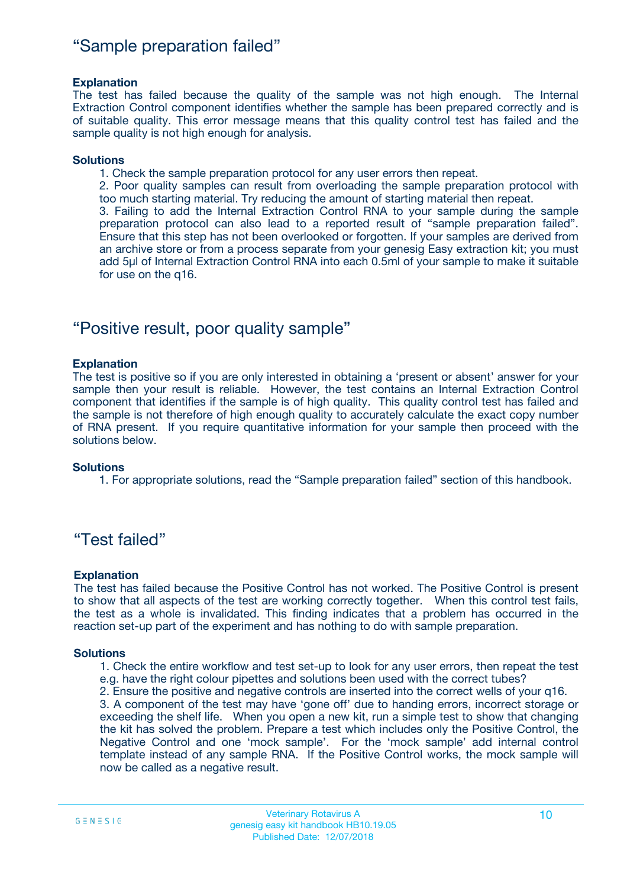## "Sample preparation failed"

### **Explanation**

The test has failed because the quality of the sample was not high enough. The Internal Extraction Control component identifies whether the sample has been prepared correctly and is of suitable quality. This error message means that this quality control test has failed and the sample quality is not high enough for analysis.

### **Solutions**

1. Check the sample preparation protocol for any user errors then repeat.

2. Poor quality samples can result from overloading the sample preparation protocol with too much starting material. Try reducing the amount of starting material then repeat.

3. Failing to add the Internal Extraction Control RNA to your sample during the sample preparation protocol can also lead to a reported result of "sample preparation failed". Ensure that this step has not been overlooked or forgotten. If your samples are derived from an archive store or from a process separate from your genesig Easy extraction kit; you must add 5µl of Internal Extraction Control RNA into each 0.5ml of your sample to make it suitable for use on the q16.

## "Positive result, poor quality sample"

### **Explanation**

The test is positive so if you are only interested in obtaining a 'present or absent' answer for your sample then your result is reliable. However, the test contains an Internal Extraction Control component that identifies if the sample is of high quality. This quality control test has failed and the sample is not therefore of high enough quality to accurately calculate the exact copy number of RNA present. If you require quantitative information for your sample then proceed with the solutions below.

#### **Solutions**

1. For appropriate solutions, read the "Sample preparation failed" section of this handbook.

## "Test failed"

#### **Explanation**

The test has failed because the Positive Control has not worked. The Positive Control is present to show that all aspects of the test are working correctly together. When this control test fails, the test as a whole is invalidated. This finding indicates that a problem has occurred in the reaction set-up part of the experiment and has nothing to do with sample preparation.

#### **Solutions**

- 1. Check the entire workflow and test set-up to look for any user errors, then repeat the test e.g. have the right colour pipettes and solutions been used with the correct tubes?
- 2. Ensure the positive and negative controls are inserted into the correct wells of your q16.

3. A component of the test may have 'gone off' due to handing errors, incorrect storage or exceeding the shelf life. When you open a new kit, run a simple test to show that changing the kit has solved the problem. Prepare a test which includes only the Positive Control, the Negative Control and one 'mock sample'. For the 'mock sample' add internal control template instead of any sample RNA. If the Positive Control works, the mock sample will now be called as a negative result.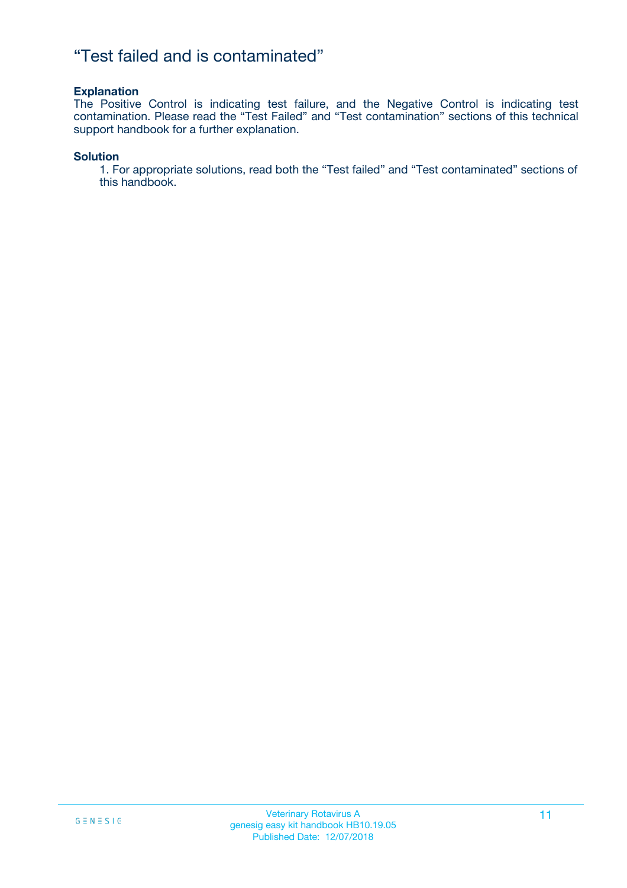## "Test failed and is contaminated"

### **Explanation**

The Positive Control is indicating test failure, and the Negative Control is indicating test contamination. Please read the "Test Failed" and "Test contamination" sections of this technical support handbook for a further explanation.

### **Solution**

1. For appropriate solutions, read both the "Test failed" and "Test contaminated" sections of this handbook.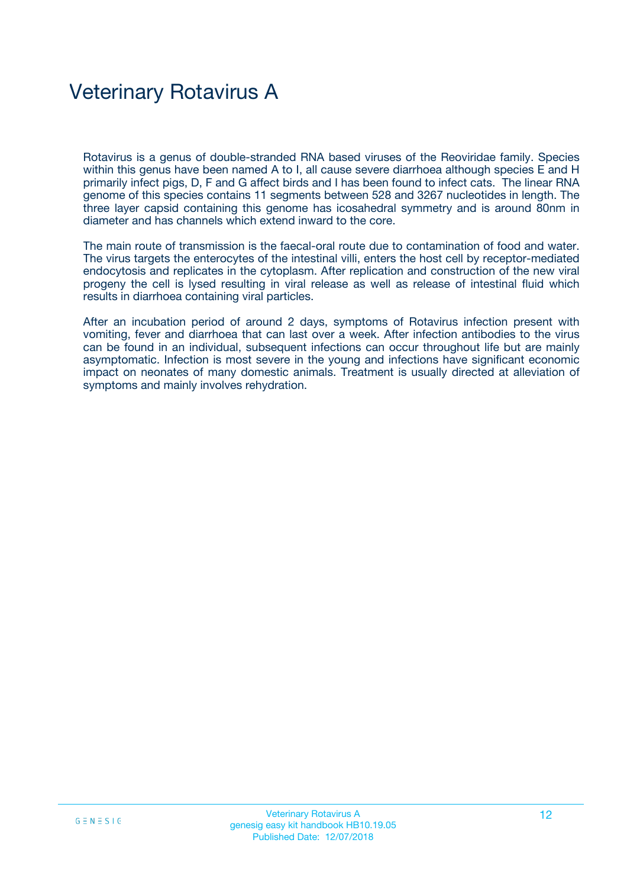## Veterinary Rotavirus A

Rotavirus is a genus of double-stranded RNA based viruses of the Reoviridae family. Species within this genus have been named A to I, all cause severe diarrhoea although species E and H primarily infect pigs, D, F and G affect birds and I has been found to infect cats. The linear RNA genome of this species contains 11 segments between 528 and 3267 nucleotides in length. The three layer capsid containing this genome has icosahedral symmetry and is around 80nm in diameter and has channels which extend inward to the core.

The main route of transmission is the faecal-oral route due to contamination of food and water. The virus targets the enterocytes of the intestinal villi, enters the host cell by receptor-mediated endocytosis and replicates in the cytoplasm. After replication and construction of the new viral progeny the cell is lysed resulting in viral release as well as release of intestinal fluid which results in diarrhoea containing viral particles.

After an incubation period of around 2 days, symptoms of Rotavirus infection present with vomiting, fever and diarrhoea that can last over a week. After infection antibodies to the virus can be found in an individual, subsequent infections can occur throughout life but are mainly asymptomatic. Infection is most severe in the young and infections have significant economic impact on neonates of many domestic animals. Treatment is usually directed at alleviation of symptoms and mainly involves rehydration.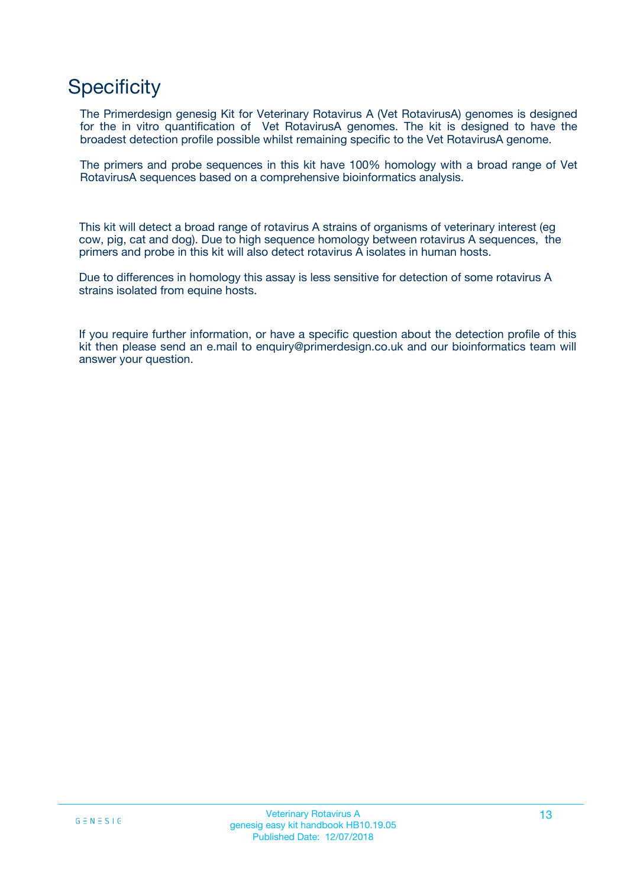## **Specificity**

The Primerdesign genesig Kit for Veterinary Rotavirus A (Vet RotavirusA) genomes is designed for the in vitro quantification of Vet RotavirusA genomes. The kit is designed to have the broadest detection profile possible whilst remaining specific to the Vet RotavirusA genome.

The primers and probe sequences in this kit have 100% homology with a broad range of Vet RotavirusA sequences based on a comprehensive bioinformatics analysis.

This kit will detect a broad range of rotavirus A strains of organisms of veterinary interest (eg cow, pig, cat and dog). Due to high sequence homology between rotavirus A sequences, the primers and probe in this kit will also detect rotavirus A isolates in human hosts.

Due to differences in homology this assay is less sensitive for detection of some rotavirus A strains isolated from equine hosts.

If you require further information, or have a specific question about the detection profile of this kit then please send an e.mail to enquiry@primerdesign.co.uk and our bioinformatics team will answer your question.